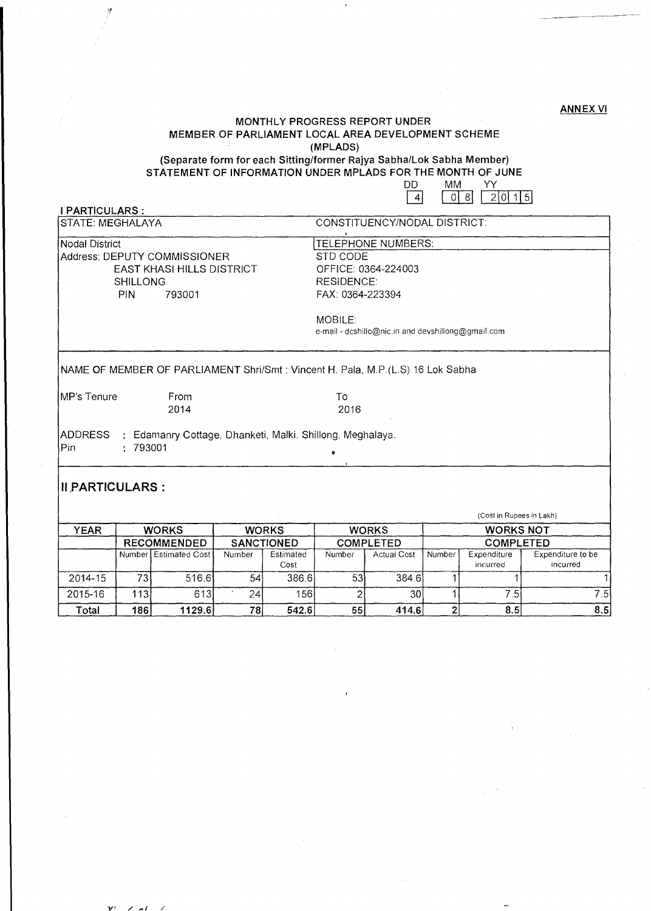#### ANNEX VI

### MONTHLY PROGRESS REPORT UNDER MEMBER OF PARLIAMENT LOCAL AREA DEVELOPMENT SCHEME (MPLADS)

(Separate form for each Sitting/former Rajya Sabha/Lok Sabha Member) STATEMENT OF INFORMATION UNDER MPLADS FOR THE MONTH OF JUNE

| ו וו | MM |      |       |
|------|----|------|-------|
|      | 81 | 2101 | 11.51 |

| I PARTICULARS :              |                           |                                                                                              |  |  |  |  |  |
|------------------------------|---------------------------|----------------------------------------------------------------------------------------------|--|--|--|--|--|
| STATE: MEGHALAYA             |                           | CONSTITUENCY/NODAL DISTRICT:                                                                 |  |  |  |  |  |
| Nodal District               |                           | TELEPHONE NUMBERS:                                                                           |  |  |  |  |  |
| Address: DEPUTY COMMISSIONER |                           | STD CODE                                                                                     |  |  |  |  |  |
|                              | EAST KHASI HILLS DISTRICT | OFFICE: 0364-224003<br><b>RESIDENCE:</b>                                                     |  |  |  |  |  |
| <b>SHILLONG</b>              |                           |                                                                                              |  |  |  |  |  |
| <b>PIN</b><br>793001         |                           | FAX: 0364-223394                                                                             |  |  |  |  |  |
|                              |                           |                                                                                              |  |  |  |  |  |
|                              |                           | <b>MOBILE:</b>                                                                               |  |  |  |  |  |
|                              |                           | e-mail - dcshillo@nic.in and devshillong@gmail.com                                           |  |  |  |  |  |
| IMP's Tenure                 | From<br>2014              | NAME OF MEMBER OF PARLIAMENT Shri/Smt: Vincent H. Pala, M.P.(L.S) 16 Lok Sabha<br>To<br>2016 |  |  |  |  |  |

|         |              |                       |                   |                   |                  |                    |                  | (Cost in Rupees in Lakh) |                               |
|---------|--------------|-----------------------|-------------------|-------------------|------------------|--------------------|------------------|--------------------------|-------------------------------|
| YEAR    | <b>WORKS</b> |                       | <b>WORKS</b>      |                   | <b>WORKS</b>     |                    | <b>WORKS NOT</b> |                          |                               |
|         |              | <b>RECOMMENDED</b>    | <b>SANCTIONED</b> |                   | <b>COMPLETED</b> |                    | <b>COMPLETED</b> |                          |                               |
|         |              | Number Estimated Cost | Number            | Estimated<br>Cost | Number           | <b>Actual Cost</b> | Number           | Expenditure<br>incurred  | Expenditure to be<br>incurred |
| 2014-15 | 731          | 516.6                 | 54                | 386.6             | 53               | 384.6l             |                  |                          |                               |
| 2015-16 | 1131         | 613                   | 241               | 156               |                  | 30                 |                  | 7.51                     | 7.51                          |
| Total   | 186          | 1129.6                | 78                | 542.6             | 55               | 414.6              |                  | 8.5                      | 8.5                           |

V' */.-1 /*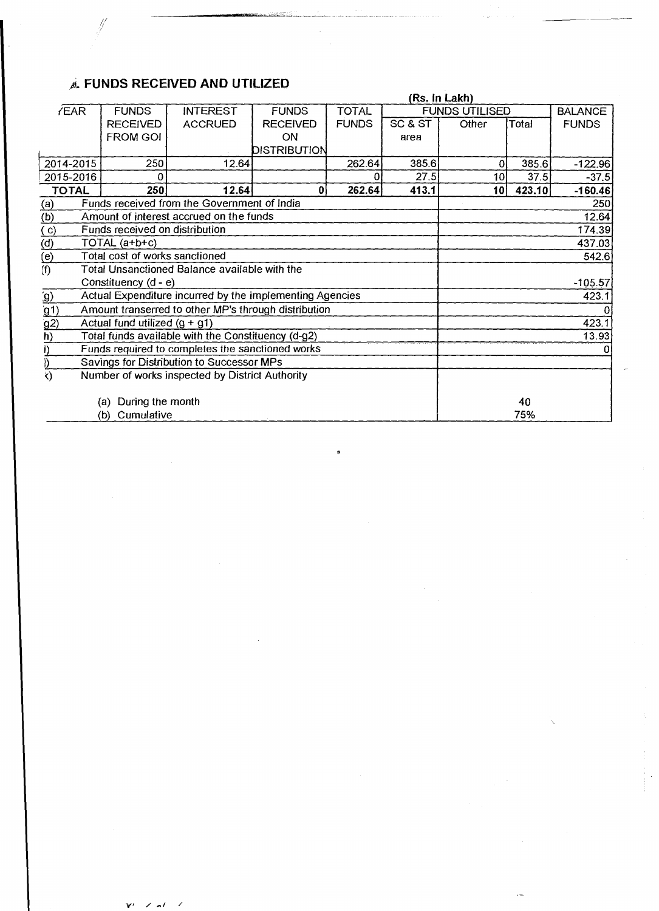# Ji. **FUNDS RECEIVED AND UTILIZED**

|                                          | (Rs. In Lakh)                                               |                                                          |                 |              |         |                       |        |                |  |
|------------------------------------------|-------------------------------------------------------------|----------------------------------------------------------|-----------------|--------------|---------|-----------------------|--------|----------------|--|
| <b>/EAR</b>                              | <b>FUNDS</b>                                                | <b>INTEREST</b>                                          | <b>FUNDS</b>    | <b>TOTAL</b> |         | <b>FUNDS UTILISED</b> |        | <b>BALANCE</b> |  |
|                                          | <b>RECEIVED</b>                                             | <b>ACCRUED</b>                                           | <b>RECEIVED</b> | <b>FUNDS</b> | SC & ST | Other                 | Total  | <b>FUNDS</b>   |  |
|                                          | <b>FROM GOI</b>                                             |                                                          | ON              |              | area    |                       |        |                |  |
|                                          |                                                             |                                                          | DISTRIBUTION    |              |         |                       |        |                |  |
| 2014-2015                                | 250                                                         | 12.64                                                    |                 | 262.64       | 385.6   | 0                     | 385.6  | $-122.96$      |  |
| 2015-2016                                | $\Omega$                                                    |                                                          |                 |              | 27.5    | 10                    | 37.5   | $-37.5$        |  |
| <b>TOTAL</b>                             | 250                                                         | 12.64                                                    | $\mathbf{0}$    | 262.64       | 413.1   | 10 <sup>1</sup>       | 423.10 | $-160.46$      |  |
| $\underline{\underline{(a)}}$            |                                                             | Funds received from the Government of India              |                 |              |         |                       |        | 250            |  |
| (b)                                      |                                                             | Amount of interest accrued on the funds                  |                 |              |         |                       |        | 12.64          |  |
| $\overline{c}$                           | Funds received on distribution                              |                                                          |                 |              |         |                       |        | 174.39         |  |
| $\overline{\text{a}}$                    | TOTAL (a+b+c)                                               |                                                          |                 |              |         | 437.03                |        |                |  |
| $\overline{e}$                           | Total cost of works sanctioned                              |                                                          |                 |              |         |                       |        | 542.6          |  |
| (f)                                      |                                                             | Total Unsanctioned Balance available with the            |                 |              |         |                       |        |                |  |
|                                          | Constituency (d - e)                                        |                                                          |                 |              |         |                       |        | $-105.57$      |  |
| $\underline{\underline{\left(0\right)}}$ |                                                             | Actual Expenditure incurred by the implementing Agencies |                 |              |         |                       |        | 423.1          |  |
| (g1)                                     | Amount transerred to other MP's through distribution        |                                                          |                 |              |         |                       |        |                |  |
| g2                                       | 423.1<br>Actual fund utilized $(g + g1)$                    |                                                          |                 |              |         |                       |        |                |  |
| h)                                       | Total funds available with the Constituency (d-g2)<br>13.93 |                                                          |                 |              |         |                       |        |                |  |
|                                          | Funds required to completes the sanctioned works            |                                                          |                 |              |         |                       |        |                |  |
|                                          |                                                             | Savings for Distribution to Successor MPs                |                 |              |         |                       |        |                |  |
| K)                                       |                                                             | Number of works inspected by District Authority          |                 |              |         |                       |        |                |  |
|                                          |                                                             |                                                          |                 |              |         |                       |        |                |  |
|                                          | During the month<br>(a)                                     |                                                          |                 |              |         |                       | 40     |                |  |
|                                          | Cumulative<br>75%<br>(b)                                    |                                                          |                 |              |         |                       |        |                |  |

------ .//'